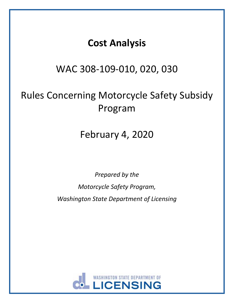# **Cost Analysis**

## WAC 308-109-010, 020, 030

# Rules Concerning Motorcycle Safety Subsidy Program

# February 4, 2020

*Prepared by the Motorcycle Safety Program, Washington State Department of Licensing*

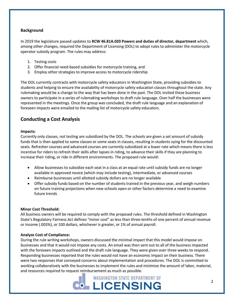## **Background**

In 2019 the legislature passed updates to **RCW 46.81A.020 Powers and duties of director, department** which, among other changes, required the Department of Licensing (DOL) to adopt rules to administer the motorcycle operator subsidy program. The rules may address:

- 1. Testing costs
- 2. Offer financial need-based subsidies for motorcycle training, and
- 3. Employ other strategies to improve access to motorcycle ridership

The DOL currently contracts with motorcycle safety educators in Washington State, providing subsidies to students and helping to ensure the availability of motorcycle safety education classes throughout the state. Any rulemaking would be a change to the way that has been done in the past. The DOL invited these business owners to participate in a series of rulemaking workshops to draft rule language. Over half the businesses were represented in the meetings. Once the group was concluded, the draft rule language and an explanation of foreseen impacts were emailed to the mailing list of motorcycle safety educators.

## **Conducting a Cost Analysis**

## **Impacts:**

Currently only classes, not testing are subsidized by the DOL. The schools are given a set amount of subsidy funds that is then applied to some classes or some seats in classes, resulting in students vying for the discounted seats. Refresher courses and advanced courses are currently subsidized at a lower rate which means there is less incentive for riders to refresh their skills after lapses in riding, to advance their skills if they are planning to increase their riding, or ride in different environments. The proposed rule would:

- Allow businesses to subsidize each seat in a class at an equal rate until subsidy funds are no longer available in approved novice (which may include testing), intermediate, or advanced courses
- Reimburse businesses until allotted subsidy dollars are no longer available
- Offer subsidy funds based on the number of students trained in the previous year, and weigh numbers on future training projections when new schools open or other factors determine a need to examine future trends

### **Minor Cost Threshold:**

All business owners will be required to comply with the proposed rules. The threshold defined in Washington State's Regulatory Fairness Act defines "minor cost" as less than three-tenths of one percent of annual revenue or income (.003%), or 100 dollars, whichever is greater, or 1% of annual payroll.

### **Analyze Cost of Compliance:**

During the rule writing workshops, owners discussed the minimal impact that this model would impose on businesses and that it would not impose any costs. An email was then sent out to all of the business impacted with the foreseen impacts outlined and the draft rule language. They were given over three weeks to respond. Responding businesses reported that the rules would not have an economic impact on their business. There were two responses that conveyed concerns about implementation and procedures. The DOL is committed to working collaboratively with the businesses to implement the rules and minimize the amount of labor, material, and resources required to request reimbursement as much as possible.